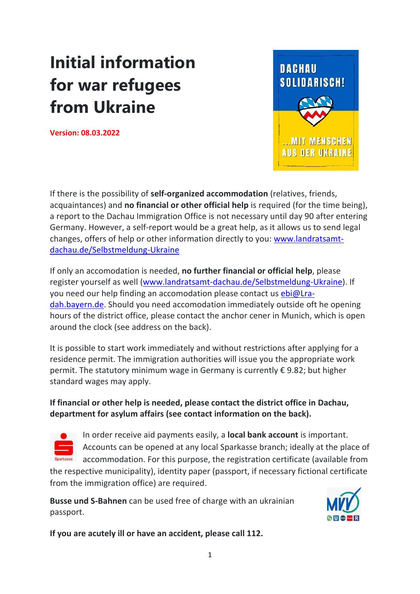## **Initial information for war refugees from Ukraine**

**Version: 08.03.2022**



If there is the possibility of **self-organized accommodation** (relatives, friends, acquaintances) and **no financial or other official help** is required (for the time being), a report to the Dachau Immigration Office is not necessary until day 90 after entering Germany. However, a self-report would be a great help, as it allows us to send legal changes, offers of help or other information directly to you: [www.landratsamt](http://www.landratsamt-dachau.de/Selbstmeldung-Ukraine)[dachau.de/Selbstmeldung-Ukraine](http://www.landratsamt-dachau.de/Selbstmeldung-Ukraine)

If only an accomodation is needed, **no further financial or official help**, please register yourself as well [\(www.landratsamt-dachau.de/Selbstmeldung-Ukraine\)](http://www.landratsamt-dachau.de/Selbstmeldung-Ukraine). If you need our help finding an accomodation please contact us [ebi@Lra](mailto:ebi@Lra-dah.bayern.de)[dah.bayern.de.](mailto:ebi@Lra-dah.bayern.de) Should you need accomodation immediately outside oft he opening hours of the district office, please contact the anchor cener in Munich, which is open around the clock (see address on the back).

It is possible to start work immediately and without restrictions after applying for a residence permit. The immigration authorities will issue you the appropriate work permit. The statutory minimum wage in Germany is currently € 9.82; but higher standard wages may apply.

## **If financial or other help is needed, please contact the district office in Dachau, department for asylum affairs (see contact information on the back).**



**In order receive aid payments easily, a local bank account** is important. Accounts can be opened at any local Sparkasse branch; ideally at the place of accommodation. For this purpose, the registration certificate (available from

the respective municipality), identity paper (passport, if necessary fictional certificate from the immigration office) are required.

**Busse und S-Bahnen** can be used free of charge with an ukrainian passport.



**If you are acutely ill or have an accident, please call 112.**